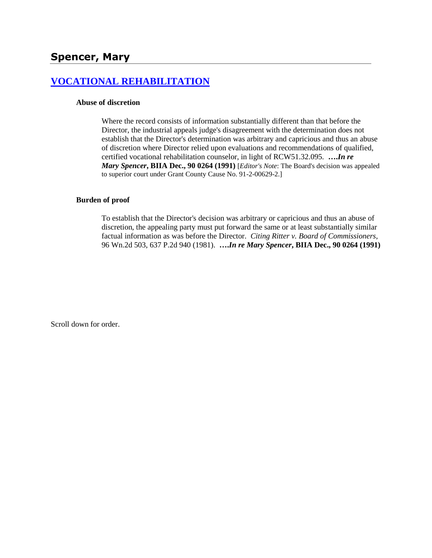# **[VOCATIONAL REHABILITATION](http://www.biia.wa.gov/SDSubjectIndex.html#VOCATIONAL_REHABILITATION)**

### **Abuse of discretion**

Where the record consists of information substantially different than that before the Director, the industrial appeals judge's disagreement with the determination does not establish that the Director's determination was arbitrary and capricious and thus an abuse of discretion where Director relied upon evaluations and recommendations of qualified, certified vocational rehabilitation counselor, in light of RCW51.32.095. **….***In re Mary Spencer***, BIIA Dec., 90 0264 (1991)** [*Editor's Note*: The Board's decision was appealed to superior court under Grant County Cause No. 91-2-00629-2.]

### **Burden of proof**

To establish that the Director's decision was arbitrary or capricious and thus an abuse of discretion, the appealing party must put forward the same or at least substantially similar factual information as was before the Director. *Citing Ritter v. Board of Commissioners*, 96 Wn.2d 503, 637 P.2d 940 (1981). **….***In re Mary Spencer***, BIIA Dec., 90 0264 (1991)**

Scroll down for order.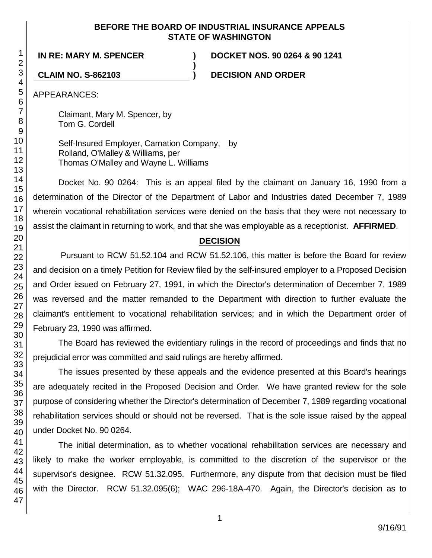### **BEFORE THE BOARD OF INDUSTRIAL INSURANCE APPEALS STATE OF WASHINGTON**

**)**

**IN RE: MARY M. SPENCER ) DOCKET NOS. 90 0264 & 90 1241**

**CLAIM NO. S-862103 ) DECISION AND ORDER**

APPEARANCES:

Claimant, Mary M. Spencer, by Tom G. Cordell

Self-Insured Employer, Carnation Company, by Rolland, O'Malley & Williams, per Thomas O'Malley and Wayne L. Williams

Docket No. 90 0264: This is an appeal filed by the claimant on January 16, 1990 from a determination of the Director of the Department of Labor and Industries dated December 7, 1989 wherein vocational rehabilitation services were denied on the basis that they were not necessary to assist the claimant in returning to work, and that she was employable as a receptionist. **AFFIRMED**.

# **DECISION**

Pursuant to RCW 51.52.104 and RCW 51.52.106, this matter is before the Board for review and decision on a timely Petition for Review filed by the self-insured employer to a Proposed Decision and Order issued on February 27, 1991, in which the Director's determination of December 7, 1989 was reversed and the matter remanded to the Department with direction to further evaluate the claimant's entitlement to vocational rehabilitation services; and in which the Department order of February 23, 1990 was affirmed.

The Board has reviewed the evidentiary rulings in the record of proceedings and finds that no prejudicial error was committed and said rulings are hereby affirmed.

The issues presented by these appeals and the evidence presented at this Board's hearings are adequately recited in the Proposed Decision and Order. We have granted review for the sole purpose of considering whether the Director's determination of December 7, 1989 regarding vocational rehabilitation services should or should not be reversed. That is the sole issue raised by the appeal under Docket No. 90 0264.

The initial determination, as to whether vocational rehabilitation services are necessary and likely to make the worker employable, is committed to the discretion of the supervisor or the supervisor's designee. RCW 51.32.095. Furthermore, any dispute from that decision must be filed with the Director. RCW 51.32.095(6); WAC 296-18A-470. Again, the Director's decision as to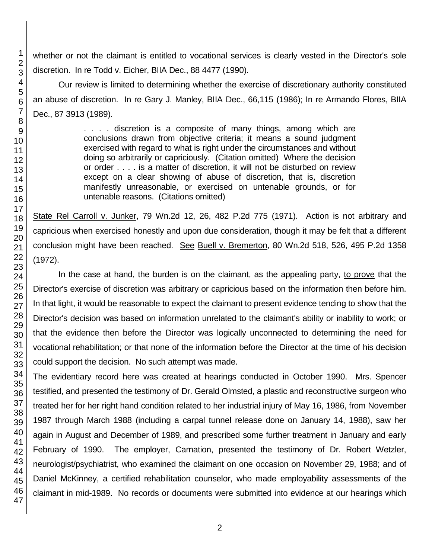whether or not the claimant is entitled to vocational services is clearly vested in the Director's sole discretion. In re Todd v. Eicher, BIIA Dec., 88 4477 (1990).

Our review is limited to determining whether the exercise of discretionary authority constituted an abuse of discretion. In re Gary J. Manley, BIIA Dec., 66,115 (1986); In re Armando Flores, BIIA Dec., 87 3913 (1989).

> .... discretion is a composite of many things, among which are conclusions drawn from objective criteria; it means a sound judgment exercised with regard to what is right under the circumstances and without doing so arbitrarily or capriciously. (Citation omitted) Where the decision or order . . . . is a matter of discretion, it will not be disturbed on review except on a clear showing of abuse of discretion, that is, discretion manifestly unreasonable, or exercised on untenable grounds, or for untenable reasons. (Citations omitted)

State Rel Carroll v. Junker, 79 Wn.2d 12, 26, 482 P.2d 775 (1971). Action is not arbitrary and capricious when exercised honestly and upon due consideration, though it may be felt that a different conclusion might have been reached. See Buell v. Bremerton, 80 Wn.2d 518, 526, 495 P.2d 1358 (1972).

In the case at hand, the burden is on the claimant, as the appealing party, to prove that the Director's exercise of discretion was arbitrary or capricious based on the information then before him. In that light, it would be reasonable to expect the claimant to present evidence tending to show that the Director's decision was based on information unrelated to the claimant's ability or inability to work; or that the evidence then before the Director was logically unconnected to determining the need for vocational rehabilitation; or that none of the information before the Director at the time of his decision could support the decision. No such attempt was made.

The evidentiary record here was created at hearings conducted in October 1990. Mrs. Spencer testified, and presented the testimony of Dr. Gerald Olmsted, a plastic and reconstructive surgeon who treated her for her right hand condition related to her industrial injury of May 16, 1986, from November 1987 through March 1988 (including a carpal tunnel release done on January 14, 1988), saw her again in August and December of 1989, and prescribed some further treatment in January and early February of 1990. The employer, Carnation, presented the testimony of Dr. Robert Wetzler, neurologist/psychiatrist, who examined the claimant on one occasion on November 29, 1988; and of Daniel McKinney, a certified rehabilitation counselor, who made employability assessments of the claimant in mid-1989. No records or documents were submitted into evidence at our hearings which

2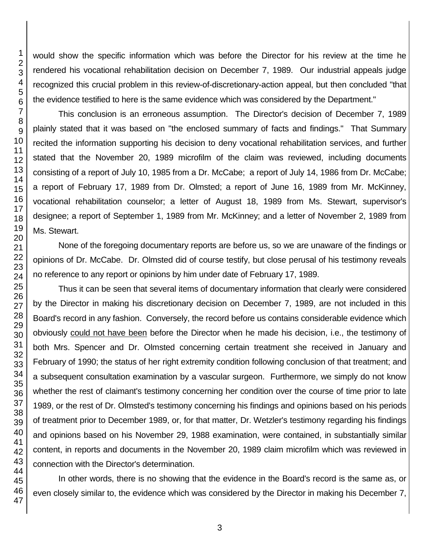would show the specific information which was before the Director for his review at the time he rendered his vocational rehabilitation decision on December 7, 1989. Our industrial appeals judge recognized this crucial problem in this review-of-discretionary-action appeal, but then concluded "that the evidence testified to here is the same evidence which was considered by the Department."

This conclusion is an erroneous assumption. The Director's decision of December 7, 1989 plainly stated that it was based on "the enclosed summary of facts and findings." That Summary recited the information supporting his decision to deny vocational rehabilitation services, and further stated that the November 20, 1989 microfilm of the claim was reviewed, including documents consisting of a report of July 10, 1985 from a Dr. McCabe; a report of July 14, 1986 from Dr. McCabe; a report of February 17, 1989 from Dr. Olmsted; a report of June 16, 1989 from Mr. McKinney, vocational rehabilitation counselor; a letter of August 18, 1989 from Ms. Stewart, supervisor's designee; a report of September 1, 1989 from Mr. McKinney; and a letter of November 2, 1989 from Ms. Stewart.

None of the foregoing documentary reports are before us, so we are unaware of the findings or opinions of Dr. McCabe. Dr. Olmsted did of course testify, but close perusal of his testimony reveals no reference to any report or opinions by him under date of February 17, 1989.

Thus it can be seen that several items of documentary information that clearly were considered by the Director in making his discretionary decision on December 7, 1989, are not included in this Board's record in any fashion. Conversely, the record before us contains considerable evidence which obviously could not have been before the Director when he made his decision, i.e., the testimony of both Mrs. Spencer and Dr. Olmsted concerning certain treatment she received in January and February of 1990; the status of her right extremity condition following conclusion of that treatment; and a subsequent consultation examination by a vascular surgeon. Furthermore, we simply do not know whether the rest of claimant's testimony concerning her condition over the course of time prior to late 1989, or the rest of Dr. Olmsted's testimony concerning his findings and opinions based on his periods of treatment prior to December 1989, or, for that matter, Dr. Wetzler's testimony regarding his findings and opinions based on his November 29, 1988 examination, were contained, in substantially similar content, in reports and documents in the November 20, 1989 claim microfilm which was reviewed in connection with the Director's determination.

In other words, there is no showing that the evidence in the Board's record is the same as, or even closely similar to, the evidence which was considered by the Director in making his December 7,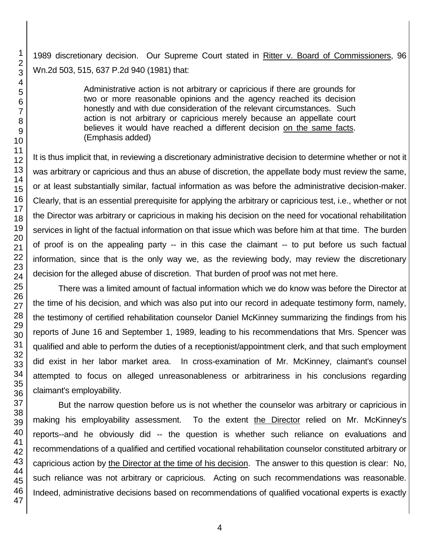1989 discretionary decision. Our Supreme Court stated in Ritter v. Board of Commissioners, 96 Wn.2d 503, 515, 637 P.2d 940 (1981) that:

> Administrative action is not arbitrary or capricious if there are grounds for two or more reasonable opinions and the agency reached its decision honestly and with due consideration of the relevant circumstances. Such action is not arbitrary or capricious merely because an appellate court believes it would have reached a different decision on the same facts. (Emphasis added)

It is thus implicit that, in reviewing a discretionary administrative decision to determine whether or not it was arbitrary or capricious and thus an abuse of discretion, the appellate body must review the same, or at least substantially similar, factual information as was before the administrative decision-maker. Clearly, that is an essential prerequisite for applying the arbitrary or capricious test, i.e., whether or not the Director was arbitrary or capricious in making his decision on the need for vocational rehabilitation services in light of the factual information on that issue which was before him at that time. The burden of proof is on the appealing party -- in this case the claimant -- to put before us such factual information, since that is the only way we, as the reviewing body, may review the discretionary decision for the alleged abuse of discretion. That burden of proof was not met here.

There was a limited amount of factual information which we do know was before the Director at the time of his decision, and which was also put into our record in adequate testimony form, namely, the testimony of certified rehabilitation counselor Daniel McKinney summarizing the findings from his reports of June 16 and September 1, 1989, leading to his recommendations that Mrs. Spencer was qualified and able to perform the duties of a receptionist/appointment clerk, and that such employment did exist in her labor market area. In cross-examination of Mr. McKinney, claimant's counsel attempted to focus on alleged unreasonableness or arbitrariness in his conclusions regarding claimant's employability.

But the narrow question before us is not whether the counselor was arbitrary or capricious in making his employability assessment. To the extent the Director relied on Mr. McKinney's reports--and he obviously did -- the question is whether such reliance on evaluations and recommendations of a qualified and certified vocational rehabilitation counselor constituted arbitrary or capricious action by the Director at the time of his decision. The answer to this question is clear: No, such reliance was not arbitrary or capricious. Acting on such recommendations was reasonable. Indeed, administrative decisions based on recommendations of qualified vocational experts is exactly

4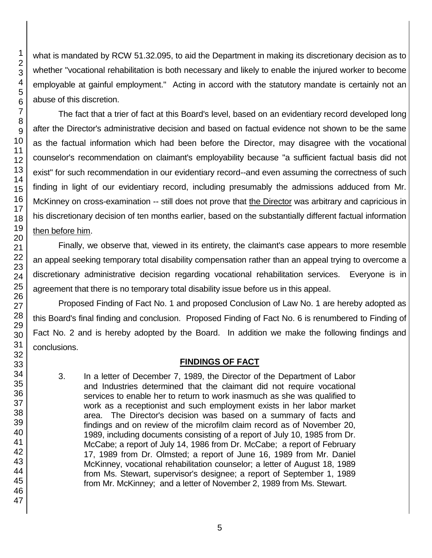what is mandated by RCW 51.32.095, to aid the Department in making its discretionary decision as to whether "vocational rehabilitation is both necessary and likely to enable the injured worker to become employable at gainful employment." Acting in accord with the statutory mandate is certainly not an abuse of this discretion.

The fact that a trier of fact at this Board's level, based on an evidentiary record developed long after the Director's administrative decision and based on factual evidence not shown to be the same as the factual information which had been before the Director, may disagree with the vocational counselor's recommendation on claimant's employability because "a sufficient factual basis did not exist" for such recommendation in our evidentiary record--and even assuming the correctness of such finding in light of our evidentiary record, including presumably the admissions adduced from Mr. McKinney on cross-examination -- still does not prove that the Director was arbitrary and capricious in his discretionary decision of ten months earlier, based on the substantially different factual information then before him.

Finally, we observe that, viewed in its entirety, the claimant's case appears to more resemble an appeal seeking temporary total disability compensation rather than an appeal trying to overcome a discretionary administrative decision regarding vocational rehabilitation services. Everyone is in agreement that there is no temporary total disability issue before us in this appeal.

Proposed Finding of Fact No. 1 and proposed Conclusion of Law No. 1 are hereby adopted as this Board's final finding and conclusion. Proposed Finding of Fact No. 6 is renumbered to Finding of Fact No. 2 and is hereby adopted by the Board. In addition we make the following findings and conclusions.

## **FINDINGS OF FACT**

3. In a letter of December 7, 1989, the Director of the Department of Labor and Industries determined that the claimant did not require vocational services to enable her to return to work inasmuch as she was qualified to work as a receptionist and such employment exists in her labor market area. The Director's decision was based on a summary of facts and findings and on review of the microfilm claim record as of November 20, 1989, including documents consisting of a report of July 10, 1985 from Dr. McCabe; a report of July 14, 1986 from Dr. McCabe; a report of February 17, 1989 from Dr. Olmsted; a report of June 16, 1989 from Mr. Daniel McKinney, vocational rehabilitation counselor; a letter of August 18, 1989 from Ms. Stewart, supervisor's designee; a report of September 1, 1989 from Mr. McKinney; and a letter of November 2, 1989 from Ms. Stewart.